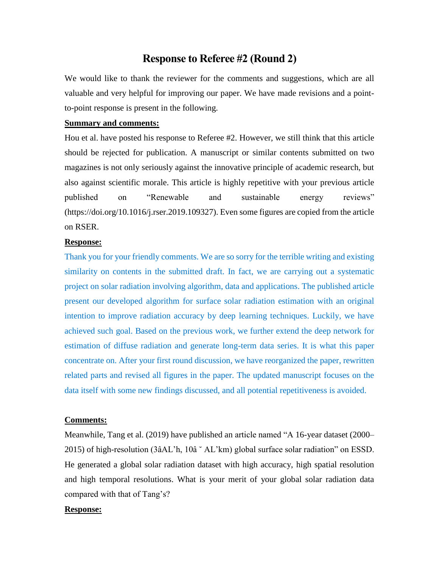# **Response to Referee #2 (Round 2)**

We would like to thank the reviewer for the comments and suggestions, which are all valuable and very helpful for improving our paper. We have made revisions and a pointto-point response is present in the following.

#### **Summary and comments:**

Hou et al. have posted his response to Referee #2. However, we still think that this article should be rejected for publication. A manuscript or similar contents submitted on two magazines is not only seriously against the innovative principle of academic research, but also against scientific morale. This article is highly repetitive with your previous article published on "Renewable and sustainable energy reviews" (https://doi.org/10.1016/j.rser.2019.109327). Even some figures are copied from the article on RSER.

## **Response:**

Thank you for your friendly comments. We are so sorry for the terrible writing and existing similarity on contents in the submitted draft. In fact, we are carrying out a systematic project on solar radiation involving algorithm, data and applications. The published article present our developed algorithm for surface solar radiation estimation with an original intention to improve radiation accuracy by deep learning techniques. Luckily, we have achieved such goal. Based on the previous work, we further extend the deep network for estimation of diffuse radiation and generate long-term data series. It is what this paper concentrate on. After your first round discussion, we have reorganized the paper, rewritten related parts and revised all figures in the paper. The updated manuscript focuses on the data itself with some new findings discussed, and all potential repetitiveness is avoided.

#### **Comments:**

Meanwhile, Tang et al. (2019) have published an article named "A 16-year dataset (2000– 2015) of high-resolution (3âAL'h, 10â ˘ AL'km) global surface solar radiation" on ESSD. He generated a global solar radiation dataset with high accuracy, high spatial resolution and high temporal resolutions. What is your merit of your global solar radiation data compared with that of Tang's?

# **Response:**